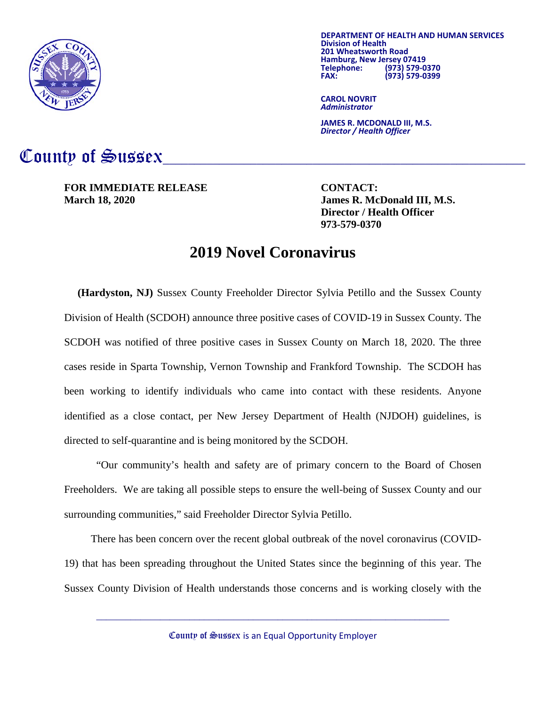

**DEPARTMENT OF HEALTH AND HUMAN SERVICES Division of Health 201 Hamburg, New Jersey 07419**<br>**2013** Telephone: (973) **Telephone: (973) 579-0370 FAX: (973) 579-0399**

**CAROL NOVRIT** *Administrator*

**JAMES R. MCDONALD III, M.S.** *Director / Health Officer*

## County of Sussex

**FOR IMMEDIATE RELEASE CONTACT: March 18, 2020 James R. McDonald III, M.S.**

**Director / Health Officer 973-579-0370**

## **2019 Novel Coronavirus**

 **(Hardyston, NJ)** Sussex County Freeholder Director Sylvia Petillo and the Sussex County Division of Health (SCDOH) announce three positive cases of COVID-19 in Sussex County. The SCDOH was notified of three positive cases in Sussex County on March 18, 2020. The three cases reside in Sparta Township, Vernon Township and Frankford Township. The SCDOH has been working to identify individuals who came into contact with these residents. Anyone identified as a close contact, per New Jersey Department of Health (NJDOH) guidelines, is directed to self-quarantine and is being monitored by the SCDOH.

"Our community's health and safety are of primary concern to the Board of Chosen Freeholders. We are taking all possible steps to ensure the well-being of Sussex County and our surrounding communities," said Freeholder Director Sylvia Petillo.

 There has been concern over the recent global outbreak of the novel coronavirus (COVID-19) that has been spreading throughout the United States since the beginning of this year. The Sussex County Division of Health understands those concerns and is working closely with the

County of Sussex is an Equal Opportunity Employer

 $\_$  , and the set of the set of the set of the set of the set of the set of the set of the set of the set of the set of the set of the set of the set of the set of the set of the set of the set of the set of the set of th